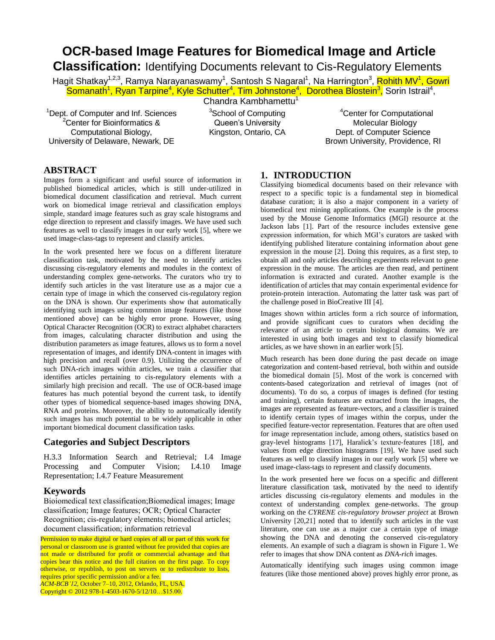# **OCR-based Image Features for Biomedical Image and Article**

**Classification:** Identifying Documents relevant to Cis-Regulatory Elements

Hagit Shatkay<sup>1,2,3</sup>, Ramya Narayanaswamy<sup>1</sup>, Santosh S Nagaral<sup>1</sup>, Na Harrington<sup>3</sup>, <mark>Rohith MV<sup>1</sup>, Gowri</mark> Somanath<sup>1</sup>, Ryan Tarpine<sup>4</sup>, Kyle Schutter<sup>4</sup>, Tim Johnstone<sup>4</sup>, Dorothea Blostein<sup>3</sup>, Sorin Istrail<sup>4</sup>, Chandra Kambhamettu<sup>1</sup>

<sup>1</sup>Dept. of Computer and Inf. Sciences <sup>2</sup>Center for Bioinformatics & Computational Biology, University of Delaware, Newark, DE

<sup>3</sup>School of Computing Queen's University Kingston, Ontario, CA

<sup>4</sup>Center for Computational Molecular Biology Dept. of Computer Science Brown University, Providence, RI

# **ABSTRACT**

Images form a significant and useful source of information in published biomedical articles, which is still under-utilized in biomedical document classification and retrieval. Much current work on biomedical image retrieval and classification employs simple, standard image features such as gray scale histograms and edge direction to represent and classify images. We have used such features as well to classify images in our early work [\[5\],](#page-6-0) where we used image-class-tags to represent and classify articles.

In the work presented here we focus on a different literature classification task, motivated by the need to identify articles discussing cis-regulatory elements and modules in the context of understanding complex gene-networks. The curators who try to identify such articles in the vast literature use as a major cue a certain type of image in which the conserved cis-regulatory region on the DNA is shown. Our experiments show that automatically identifying such images using common image features (like those mentioned above) can be highly error prone. However, using Optical Character Recognition (OCR) to extract alphabet characters from images, calculating character distribution and using the distribution parameters as image features, allows us to form a novel representation of images, and identify DNA-content in images with high precision and recall (over 0.9). Utilizing the occurrence of such DNA-rich images within articles, we train a classifier that identifies articles pertaining to cis-regulatory elements with a similarly high precision and recall. The use of OCR-based image features has much potential beyond the current task, to identify other types of biomedical sequence-based images showing DNA, RNA and proteins. Moreover, the ability to automatically identify such images has much potential to be widely applicable in other important biomedical document classification tasks.

# **Categories and Subject Descriptors**

H.3.3 Information Search and Retrieval; I.4 Image Processing and Computer Vision; I.4.10 Image Representation; I.4.7 Feature Measurement

# **Keywords**

Bioiomedical text classification;Biomedical images; Image classification; Image features; OCR; Optical Character Recognition; cis-regulatory elements; biomedical articles; document classification; information retrieval

*ACM-BCB'12*, October 7–10, 2012, Orlando, FL, USA. Copyright © 2012 978-1-4503-1670-5/12/10…\$15.00.

# **1. INTRODUCTION**

Classifying biomedical documents based on their relevance with respect to a specific topic is a fundamental step in biomedical database curation; it is also a major component in a variety of biomedical text mining applications. One example is the process used by the Mouse Genome Informatics (MGI) resource at the Jackson labs [\[1\].](#page-6-1) Part of the resource includes extensive gene expression information, for which MGI's curators are tasked with identifying published literature containing information about gene expression in the mouse [\[2\].](#page-6-2) Doing this requires, as a first step, to obtain all and only articles describing experiments relevant to gene expression in the mouse. The articles are then read, and pertinent information is extracted and curated. Another example is the identification of articles that may contain experimental evidence for protein-protein interaction. Automating the latter task was part of the challenge posed in BioCreative III [\[4\].](#page-6-3) 

Images shown within articles form a rich source of information, and provide significant cues to curators when deciding the relevance of an article to certain biological domains. We are interested in using both images and text to classify biomedical articles, as we have shown in an earlier work [\[5\].](#page-6-0)

Much research has been done during the past decade on image categorization and content-based retrieval, both within and outside the biomedical domain [\[5\].](#page-6-0) Most of the work is concerned with contents-based categorization and retrieval of images (not of documents). To do so, a corpus of images is defined (for testing and training), certain features are extracted from the images, the images are represented as feature-vectors, and a classifier is trained to identify certain types of images within the corpus, under the specified feature-vector representation. Features that are often used for image representation include, among others, statistics based on gray-level histograms [\[17\],](#page-6-4) Haralick's texture-features [\[18\],](#page-6-5) and values from edge direction histograms [\[19\].](#page-6-6) We have used such features as well to classify images in our early work [\[5\]](#page-6-0) where we used image-class-tags to represent and classify documents.

In the work presented here we focus on a specific and different literature classification task, motivated by the need to identify articles discussing cis-regulatory elements and modules in the context of understanding complex gene-networks. The group working on the *CYRENE cis-regulatory browser project* at Brown University [20,21] noted that to identify such articles in the vast literature, one can use as a major cue a certain type of image showing the DNA and denoting the conserved cis-regulatory elements. An example of such a diagram is shown in Figure 1. We refer to images that show DNA content as *DNA-rich* images.

Automatically identifying such images using common image features (like those mentioned above) proves highly error prone, as

Permission to make digital or hard copies of all or part of this work for personal or classroom use is granted without fee provided that copies are not made or distributed for profit or commercial advantage and that copies bear this notice and the full citation on the first page. To copy otherwise, or republish, to post on servers or to redistribute to lists, requires prior specific permission and/or a fee.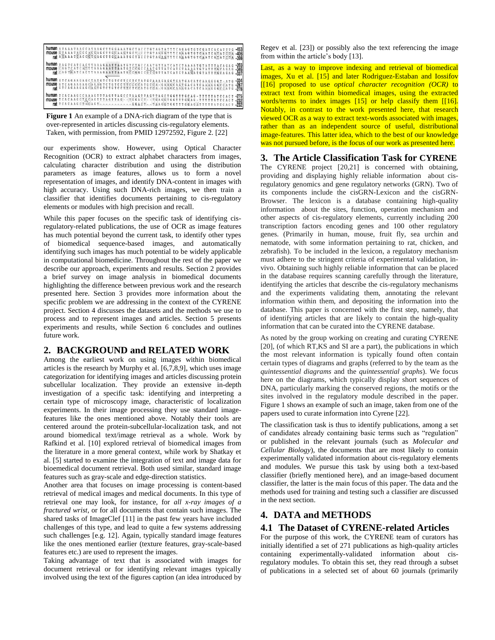

**Figure 1** An example of a DNA-rich diagram of the type that is over-represented in articles discussing cis-regulatory elements. Taken, with permission, from PMID 12972592, Figure 2[. \[22\]](#page-6-14)

our experiments show. However, using Optical Character Recognition (OCR) to extract alphabet characters from images, calculating character distribution and using the distribution parameters as image features, allows us to form a novel representation of images, and identify DNA-content in images with high accuracy. Using such DNA-rich images, we then train a classifier that identifies documents pertaining to cis-regulatory elements or modules with high precision and recall.

While this paper focuses on the specific task of identifying cisregulatory-related publications, the use of OCR as image features has much potential beyond the current task, to identify other types of biomedical sequence-based images, and automatically identifying such images has much potential to be widely applicable in computational biomedicine. Throughout the rest of the paper we describe our approach, experiments and results. Section 2 provides a brief survey on image analysis in biomedical documents highlighting the difference between previous work and the research presented here. Section 3 provides more information about the specific problem we are addressing in the context of the CYRENE project. Section 4 discusses the datasets and the methods we use to process and to represent images and articles. Section 5 presents experiments and results, while Section 6 concludes and outlines future work.

#### **2. BACKGROUND and RELATED WORK**

Among the earliest work on using images within biomedical articles is the research by Murphy et al. [6,7,8,9], which uses image categorization for identifying images and articles discussing protein subcellular localization. They provide an extensive in-depth investigation of a specific task: identifying and interpreting a certain type of microscopy image, characteristic of localization experiments. In their image processing they use standard imagefeatures like the ones mentioned above. Notably their tools are centered around the protein-subcellular-localization task, and not around biomedical text/image retrieval as a whole. Work by Rafkind et al. [\[10\]](#page-6-7) explored retrieval of biomedical images from the literature in a more general context, while work by Shatkay et al. [\[5\]](#page-6-0) started to examine the integration of text and image data for bioemedical document retrieval. Both used similar, standard image features such as gray-scale and edge-direction statistics.

Another area that focuses on image processing is content-based retrieval of medical images and medical documents. In this type of retrieval one may look, for instance, for *all x-ray images of a fractured wrist*, or for all documents that contain such images. The shared tasks of ImageClef [\[11\]](#page-6-8) in the past few years have included challenges of this type, and lead to quite a few systems addressing such challenges [e.g. 12]. Again, typically standard image features like the ones mentioned earlier (texture features, gray-scale-based features etc.) are used to represent the images.

Taking advantage of text that is associated with images for document retrieval or for identifying relevant images typically involved using the text of the figures caption (an idea introduced by Regev et al. [\[23\]\)](#page-6-9) or possibly also the text referencing the image from within the article's body [\[13\].](#page-6-10)

Last, as a way to improve indexing and retrieval of biomedical images, Xu et al. [\[15\]](#page-6-11) and later Rodriguez-Estaban and Iossifov [\[\[16\]](#page-6-12) proposed to use *optical character recognition (OCR)* to extract text from within biomedical images, using the extracted words/terms to index images [\[15\]](#page-6-11) or help classify them [\[\[16\].](#page-6-12) Notably, in contrast to the work presented here, that research viewed OCR as a way to extract text-words associated with images, rather than as an independent source of useful, distributional image-features. This latter idea, which to the best of our knowledge was not pursued before, is the focus of our work as presented here.

**3. The Article Classification Task for CYRENE**

The CYRENE project [20,21] is concerned with obtaining, providing and displaying highly reliable information about cisregulatory genomics and gene regulatory networks (GRN). Two of its components include the cisGRN-Lexicon and the cisGRN-Browser. The lexicon is a database containing high-quality information about the sites, function, operation mechanism and other aspects of cis-regulatory elements, currently including 200 transcription factors encoding genes and 100 other regulatory genes. (Primarily in human, mouse, fruit fly, sea urchin and nematode, with some information pertaining to rat, chicken, and zebrafish). To be included in the lexicon, a regulatory mechanism must adhere to the stringent criteria of experimental validation, invivo. Obtaining such highly reliable information that can be placed in the database requires scanning carefully through the literature, identifying the articles that describe the cis-regulatory mechanisms and the experiments validating them, annotating the relevant information within them, and depositing the information into the database. This paper is concerned with the first step, namely, that of identifying articles that are likely to contain the high-quality information that can be curated into the CYRENE database.

As noted by the group working on creating and curating CYRENE [\[20\],](#page-6-13) (of which RT, KS and SI are a part), the publications in which the most relevant information is typically found often contain certain types of diagrams and graphs (referred to by the team as the *quintessential diagrams* and the *quintessential graphs*). We focus here on the diagrams, which typically display short sequences of DNA, particularly marking the conserved regions, the motifs or the sites involved in the regulatory module described in the paper. Figure 1 shows an example of such an image, taken from one of the papers used to curate information into Cyren[e \[22\].](#page-6-14)

The classification task is thus to identify publications, among a set of candidates already containing basic terms such as "regulation" or published in the relevant journals (such as *Molecular and Cellular Biology*), the documents that are most likely to contain experimentally validated information about cis-regulatory elements and modules. We pursue this task by using both a text-based classifier (briefly mentioned here), and an image-based document classifier, the latter is the main focus of this paper. The data and the methods used for training and testing such a classifier are discussed in the next section.

### **4. DATA and METHODS**

#### **4.1 The Dataset of CYRENE-related Articles**

For the purpose of this work, the CYRENE team of curators has initially identified a set of 271 publications as high-quality articles containing experimentally-validated information about cisregulatory modules. To obtain this set, they read through a subset of publications in a selected set of about 60 journals (primarily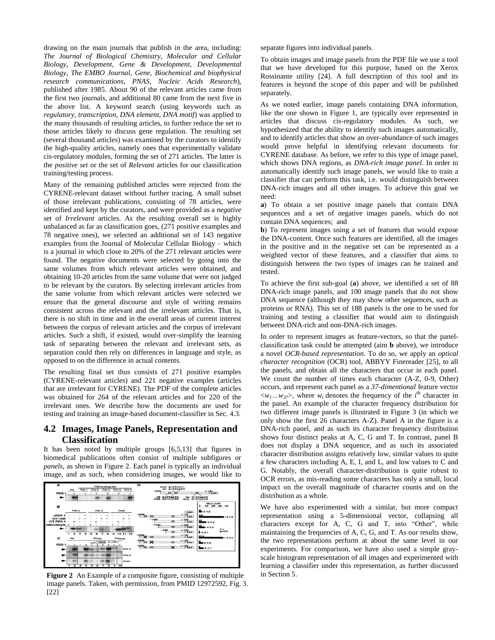drawing on the main journals that publish in the area, including: *The Journal of Biological Chemistry, Molecular and Cellular Biology, Development, Gene & Development, Developmental Biology, The EMBO Journal, Gene, Biochemical and biophysical research communications, PNAS, Nucleic Acids Research*), published after 1985. About 90 of the relevant articles came from the first two journals, and additional 80 came from the next five in the above list. A keyword search (using keywords such as *regulatory, transcription, DNA element, DNA motif*) was applied to the many thousands of resulting articles, to further reduce the set to those articles likely to discuss gene regulation. The resulting set (several thousand articles) was examined by the curators to identify the high-quality articles, namely ones that experimentally validate cis-regulatory modules, forming the set of 271 articles. The latter is the *positive set* or the set of *Relevant* articles for our classification training/testing process.

Many of the remaining published articles were rejected from the CYRENE-relevant dataset without further tracing. A small subset of those irrelevant publications, consisting of 78 articles, were identified and kept by the curators, and were provided as a *negative* set of *Irrelevant* articles. As the resulting overall set is highly unbalanced as far as classification goes, (271 positive examples and 78 negative ones), we selected an additional set of 143 negative examples from the Journal of Molecular Cellular Biology – which is a journal in which close to 20% of the 271 relevant articles were found. The negative documents were selected by going into the same volumes from which relevant articles were obtained, and obtaining 10-20 articles from the same volume that were not judged to be relevant by the curators. By selecting irrelevant articles from the same volume from which relevant articles were selected we ensure that the general discourse and style of writing remains consistent across the relevant and the irrelevant articles. That is, there is no shift in time and in the overall areas of current interest between the corpus of relevant articles and the corpus of irrelevant articles. Such a shift, if existed, would over-simplify the learning task of separating between the relevant and irrelevant sets, as separation could then rely on differences in language and style, as opposed to on the difference in actual contents.

The resulting final set thus consists of 271 positive examples (CYRENE-relevant articles) and 221 negative examples (articles that are irrelevant for CYRENE). The PDF of the complete articles was obtained for 264 of the relevant articles and for 220 of the irrelevant ones. We describe how the documents are used for testing and training an image-based document-classifier in Sec. 4.3.

## **4.2 Images, Image Panels, Representation and Classification**

It has been noted by multiple groups [6,5,13] that figures in biomedical publications often consist of multiple subfigures or *panels,* as shown in Figure 2. Each panel is typically an individual image, and as such, when considering images, we would like to



**Figure 2** An Example of a composite figure, consisting of multiple in Section 5. image panels. Taken, with permission, from PMID 12972592, Fig. 3. [22]

separate figures into individual panels.

To obtain images and image panels from the PDF file we use a tool that we have developed for this purpose, based on the Xerox Rossinante utility [\[24\].](#page-6-15) A full description of this tool and its features is beyond the scope of this paper and will be published separately.

As we noted earlier, image panels containing DNA information, like the one shown in Figure 1, are typically over represented in articles that discuss cis-regulatory modules. As such, we hypothesized that the ability to identify such images automatically, and to identify articles that show an over-abundance of such images would prove helpful in identifying relevant documents for CYRENE database. As before, we refer to this type of image panel, which shows DNA regions, as *DNA-rich image panel*. In order to automatically identify such image panels, we would like to train a classifier that can perform this task, i.e. would distinguish between DNA-rich images and all other images. To achieve this goal we need:

**a**) To obtain a set positive image panels that contain DNA sequences and a set of negative images panels, which do not contain DNA sequences; and

**b**) To represent images using a set of features that would expose the DNA-content. Once such features are identified, all the images in the positive and in the negative set can be represented as a weighted vector of these features, and a classifier that aims to distinguish between the two types of images can be trained and tested.

To achieve the first sub-goal (**a**) above, we identified a set of 88 DNA-rich image panels, and 100 image panels that do not show DNA sequence (although they may show other sequences, such as proteins or RNA). This set of 188 panels is the one to be used for training and testing a classifier that would aim to distinguish between DNA-rich and non-DNA-rich images.

In order to represent images as feature-vectors, so that the panelclassification task could be attempted (aim **b** above), we introduce a novel *OCR-based representation*. To do so, we apply an *optical character recognition* (OCR) tool, ABBYY Finereader [\[25\],](#page-6-16) to all the panels, and obtain all the characters that occur in each panel. We count the number of times each character (A-Z, 0-9, Other) occurs, and represent each panel as a *37-dimentional* feature vector  $\langle w_1...w_{37} \rangle$ , where  $w_i$  denotes the frequency of the *i*<sup>th</sup> character in the panel. An example of the character frequency distribution for two different image panels is illustrated in Figure 3 (in which we only show the first 26 characters A-Z). Panel A in the figure is a DNA-rich panel, and as such its character frequency distribution shows four distinct peaks at A, C, G and T. In contrast, panel B does not display a DNA sequence, and as such its associated character distribution assigns relatively low, similar values to quite a few characters including A, E, I, and L, and low values to C and G. Notably, the overall character-distribution is quite robust to OCR errors, as mis-reading some characters has only a small, local impact on the overall magnitude of character counts and on the distribution as a whole.

We have also experimented with a similar, but more compact representation using a 5-dimensional vector, collapsing all characters except for A, C, G and T, into "Other", while maintaining the frequencies of A, C, G, and T. As our results show, the two representations perform at about the same level in our experiments. For comparison, we have also used a simple grayscale histogram representation of all images and experimented with learning a classifier under this representation, as further discussed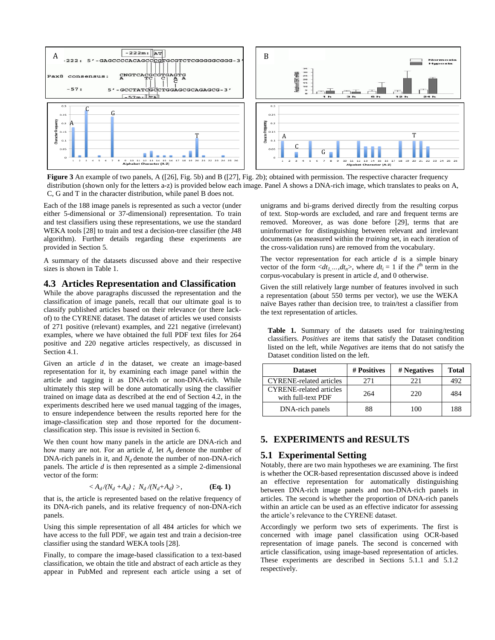

<span id="page-3-0"></span>**Figure 3** An example of two panels, A [\(\[26\],](#page-6-19) Fig. 5b) and B [\(\[27\],](#page-6-20) Fig. 2b); obtained with permission. The respective character frequency distribution (shown only for the letters a-z) is provided below each image. Panel A shows a DNA-rich image, which translates to peaks on A, C, G and T in the character distribution, while panel B does not.

Each of the 188 image panels is represented as such a vector (under either 5-dimensional or 37-dimensional) representation. To train and test classifiers using these representations, we use the standard WEKA tools [\[28\]](#page-6-17) to train and test a decision-tree classifier (the J48 algorithm). Further details regarding these experiments are provided in Section 5.

A summary of the datasets discussed above and their respective sizes is shown in Table 1.

#### **4.3 Articles Representation and Classification**

While the above paragraphs discussed the representation and the classification of image panels, recall that our ultimate goal is to classify published articles based on their relevance (or there lackof) to the CYRENE dataset. The dataset of articles we used consists of 271 positive (relevant) examples, and 221 negative (irrelevant) examples, where we have obtained the full PDF text files for 264 positive and 220 negative articles respectively, as discussed in Section 4.1.

Given an article *d* in the dataset, we create an image-based representation for it, by examining each image panel within the article and tagging it as DNA-rich or non-DNA-rich. While ultimately this step will be done automatically using the classifier trained on image data as described at the end of Section 4.2, in the experiments described here we used manual tagging of the images, to ensure independence between the results reported here for the image-classification step and those reported for the documentclassification step. This issue is revisited in Section 6.

We then count how many panels in the article are DNA-rich and how many are not. For an article  $d$ , let  $A_d$  denote the number of DNA-rich panels in it, and *N<sup>d</sup>* denote the number of non-DNA-rich panels. The article *d* is then represented as a simple 2-dimensional vector of the form:

$$
\langle A_d/(N_d + A_d) ; N_d/(N_d + A_d) \rangle, \quad (Eq. 1)
$$

that is, the article is represented based on the relative frequency of its DNA-rich panels, and its relative frequency of non-DNA-rich panels.

Using this simple representation of all 484 articles for which we have access to the full PDF, we again test and train a decision-tree classifier using the standard WEKA tool[s \[28\].](#page-6-17)

Finally, to compare the image-based classification to a text-based classification, we obtain the title and abstract of each article as they appear in PubMed and represent each article using a set of unigrams and bi-grams derived directly from the resulting corpus of text. Stop-words are excluded, and rare and frequent terms are removed. Moreover, as was done before [\[29\],](#page-6-18) terms that are uninformative for distinguishing between relevant and irrelevant documents (as measured within the *training* set, in each iteration of the cross-validation runs) are removed from the vocabulary.

The vector representation for each article *d* is a simple binary vector of the form  $\langle dt_1, ..., dt_n \rangle$ , where  $dt_i = 1$  if the *i*<sup>th</sup> term in the corpus-vocabulary is present in article *d*, and 0 otherwise.

Given the still relatively large number of features involved in such a representation (about 550 terms per vector), we use the WEKA naïve Bayes rather than decision tree, to train/test a classifier from the text representation of articles.

**Table 1.** Summary of the datasets used for training/testing classifiers. *Positives* are items that satisfy the Dataset condition listed on the left, while *Negatives* are items that do not satisfy the Dataset condition listed on the left.

| <b>Dataset</b>                                       | # Positives | # Negatives | <b>Total</b> |
|------------------------------------------------------|-------------|-------------|--------------|
| <b>CYRENE-related articles</b>                       | 271         | 221         | 492          |
| <b>CYRENE-related articles</b><br>with full-text PDF | 2.64        | 220         | 484          |
| DNA-rich panels                                      | 88          | 100         | 188          |

## **5. EXPERIMENTS and RESULTS**

#### **5.1 Experimental Setting**

Notably, there are two main hypotheses we are examining. The first is whether the OCR-based representation discussed above is indeed an effective representation for automatically distinguishing between DNA-rich image panels and non-DNA-rich panels in articles. The second is whether the proportion of DNA-rich panels within an article can be used as an effective indicator for assessing the article's relevance to the CYRENE dataset.

Accordingly we perform two sets of experiments. The first is concerned with image panel classification using OCR-based representation of image panels. The second is concerned with article classification, using image-based representation of articles. These experiments are described in Sections 5.1.1 and 5.1.2 respectively.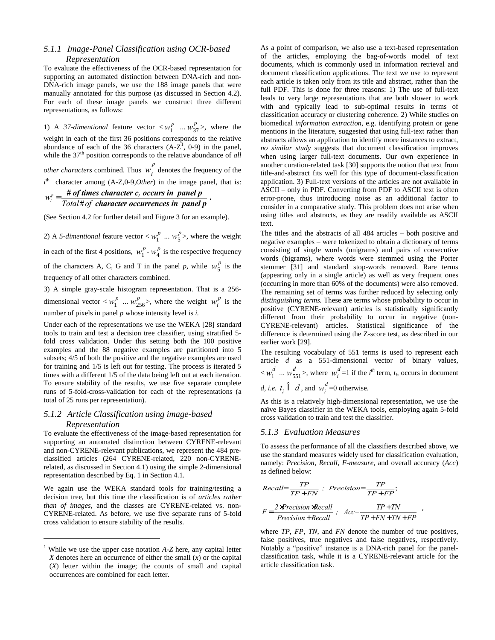#### *5.1.1 Image-Panel Classification using OCR-based Representation*

To evaluate the effectiveness of the OCR-based representation for supporting an automated distinction between DNA-rich and non-DNA-rich image panels, we use the 188 image panels that were manually annotated for this purpose (as discussed in Section 4.2). For each of these image panels we construct three different representations, as follows:

1) A 37-dimentional feature vector  $\langle w_1^p \dots w_{37}^p \rangle$ , where the weight in each of the first 36 positions corresponds to the relative abundance of each of the 36 characters  $(A-Z^1, 0-9)$  in the panel, while the 37<sup>th</sup> position corresponds to the relative abundance of *all other characters* combined. Thus  $w_i^p$  denotes the frequency of the  $i<sup>th</sup>$  character among (A-Z,0-9,*Other*) in the image panel, that is:  $w_i^p = \frac{\text{# of times character } c_i \text{ occurs in panel p}}{\text{# of times } c_i}$ *Total* #*of character occurrences in panel p .*

(See Section 4.2 for further detail and [Figure 3](#page-3-0) for an example).

2) A *5-dimentional* feature vector  $\langle w_1^p ... w_5^p \rangle$ , where the weight in each of the first 4 positions,  $w_1^p \cdot w_4^p$  is the respective frequency of the characters A, C, G and T in the panel p, while  $w_5^p$  is the frequency of all other characters combined.

3) A simple gray-scale histogram representation. That is a 256 dimensional vector  $\langle w_1^p ... w_{256}^p \rangle$ , where the weight  $w_i^p$  is the number of pixels in panel *p* whose intensity level is *i.*

Under each of the representations we use the WEKA [\[28\]](#page-6-17) standard tools to train and test a decision tree classifier, using stratified 5 fold cross validation. Under this setting both the 100 positive examples and the 88 negative examples are partitioned into 5 subsets; 4/5 of both the positive and the negative examples are used for training and 1/5 is left out for testing. The process is iterated 5 times with a different 1/5 of the data being left out at each iteration. To ensure stability of the results, we use five separate complete runs of 5-fold-cross-validation for each of the representations (a total of 25 runs per representation).

#### *5.1.2 Article Classification using image-based Representation*

To evaluate the effectiveness of the image-based representation for supporting an automated distinction between CYRENE-relevant and non-CYRENE-relevant publications, we represent the 484 preclassified articles (264 CYRENE-related, 220 non-CYRENErelated, as discussed in Section 4.1) using the simple 2-dimensional representation described by Eq. 1 in Section 4.1.

We again use the WEKA standard tools for training/testing a decision tree, but this time the classification is of *articles rather than of images*, and the classes are CYRENE-related vs. non-CYRENE-related. As before, we use five separate runs of 5-fold cross validation to ensure stability of the results.

 $\overline{a}$ 

As a point of comparison, we also use a text-based representation of the articles, employing the bag-of-words model of text documents, which is commonly used in information retrieval and document classification applications. The text we use to represent each article is taken only from its title and abstract, rather than the full PDF. This is done for three reasons: 1) The use of full-text leads to very large representations that are both slower to work with and typically lead to sub-optimal results in terms of classification accuracy or clustering coherence. 2) While studies on biomedical *information extraction*, e.g. identifying protein or gene mentions in the literature*,* suggested that using full-text rather than abstracts allows an application to identify more instances to extract, *no similar study* suggests that document classification improves when using larger full-text documents. Our own experience in another curation-related task [\[30\]](#page-6-21) supports the notion that text from title-and-abstract fits well for this type of document-classification application. 3) Full-text versions of the articles are not available in ASCII – only in PDF. Converting from PDF to ASCII text is often error-prone, thus introducing noise as an additional factor to consider in a comparative study. This problem does not arise when using titles and abstracts, as they are readily available as ASCII text.

The titles and the abstracts of all 484 articles – both positive and negative examples – were tokenized to obtain a dictionary of terms consisting of single words (unigrams) and pairs of consecutive words (bigrams), where words were stemmed using the Porter stemmer [\[31\]](#page-6-22) and standard stop-words removed. Rare terms (appearing only in a single article) as well as very frequent ones (occurring in more than 60% of the documents) were also removed. The remaining set of terms was further reduced by selecting only *distinguishing terms.* These are terms whose probability to occur in positive (CYRENE-relevant) articles is statistically significantly different from their probability to occur in negative (non-CYRENE-relevant) articles. Statistical significance of the difference is determined using the Z-score test, as described in our earlier work [\[29\].](#page-6-18) 

The resulting vocabulary of 551 terms is used to represent each article *d* as a 551-dimensional vector of binary values,  $\langle w_1^d \dots w_{551}^d \rangle$ , where  $w_i^d = 1$  if the *i*<sup>th</sup> term, *t<sub>i</sub>*, occurs in document *d, i.e.*  $t_i$   $\hat{I}$  *d,* and  $w_i^d = 0$  otherwise.

As this is a relatively high-dimensional representation, we use the naïve Bayes classifier in the WEKA tools, employing again 5-fold cross validation to train and test the classifier.

#### *5.1.3 Evaluation Measures*

To assess the performance of all the classifiers described above, we use the standard measures widely used for classification evaluation, namely: *Precision, Recall*, *F-measure,* and overall accuracy (*Acc*) as defined below:

Recall=
$$
\frac{TP}{TP + FN}
$$
; Precision= $\frac{TP}{TP + FP}$ ;  
\n $F = \frac{2 \times Precision \times Recall}{Precision + Recall}$ ; Acc= $\frac{TP + TN}{TP + FN + TN + FP}$ 

where *TP, FP, TN*, and *FN* denote the number of true positives, false positives, true negatives and false negatives, respectively. Notably a "positive" instance is a DNA-rich panel for the panelclassification task, while it is a CYRENE-relevant article for the article classification task.

*'*

<sup>1</sup> While we use the upper case notation *A-Z* here, any capital letter  $X$  denotes here an occurrence of either the small  $(x)$  or the capital (*X*) letter within the image; the counts of small and capital occurrences are combined for each letter.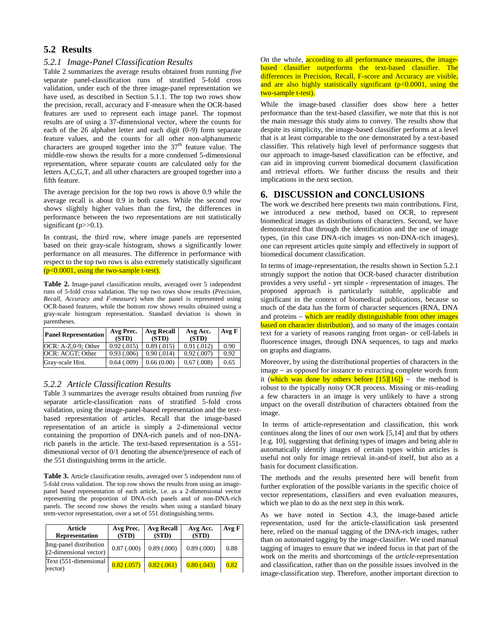## **5.2 Results**

#### *5.2.1 Image-Panel Classification Results*

Table 2 summarizes the average results obtained from running *five* separate panel-classification runs of stratified 5-fold cross validation, under each of the three image-panel representation we have used, as described in Section 5.1.1. The top two rows show the precision, recall, accuracy and F-measure when the OCR-based features are used to represent each image panel. The topmost results are of using a 37-dimensional vector, where the counts for each of the 26 alphabet letter and each digit (0-9) form separate feature values, and the counts for all other non-alphanumeric characters are grouped together into the  $37<sup>th</sup>$  feature value. The middle-row shows the results for a more condensed 5-dimensional representation, where separate counts are calculated only for the letters A,C,G,T, and all other characters are grouped together into a fifth feature.

The average precision for the top two rows is above 0.9 while the average recall is about 0.9 in both cases. While the second row shows slightly higher values than the first, the differences in performance between the two representations are not statistically significant  $(p>>0.1)$ .

In contrast, the third row, where image panels are represented based on their gray-scale histogram, shows a significantly lower performance on all measures. The difference in performance with respect to the top two rows is also extremely statistically significant (p<0.0001, using the two-sample t-test).

**Table 2.** Image-panel classification results, averaged over 5 independent runs of 5-fold cross validation. The top two rows show results (*Precision, Recall, Accuracy and F-measure*) when the panel is represented using OCR-based features, while the bottom row shows results obtained using a gray-scale histogram representation. Standard deviation is shown in parentheses.

| <b>Panel Representation</b> | Avg Prec.<br>(STD) | <b>Avg Recall</b><br>(STD) | Avg Acc.<br>(STD) | Avg F |
|-----------------------------|--------------------|----------------------------|-------------------|-------|
| $OCR: A-Z.0-9$ ; Other      | 0.92(0.015)        | 0.89(0.015)                | 0.91(0.012)       | 0.90  |
| OCR: ACGT; Other            | 0.93(0.006)        | 0.90(0.014)                | 0.92(0.007)       | 0.92  |
| Gray-scale Hist.            | 0.64(0.009)        | 0.66(0.00)                 | 0.67(0.008)       | 0.65  |

#### *5.2.2 Article Classification Results*

Table 3 summarizes the average results obtained from running *five*  separate article-classification runs of stratified 5-fold cross validation, using the image-panel-based representation and the textbased representation of articles. Recall that the image-based representation of an article is simply a 2-dimensional vector containing the proportion of DNA-rich panels and of non-DNArich panels in the article. The text-based representation is a 551 dimesnional vector of 0/1 denoting the absence/presence of each of the 551 distinguishing terms in the article.

**Table 3.** Article classification results, averaged over 5 independent runs of 5-fold cross validation. The top row shows the results from using an imagepanel based representation of each article, i.e. as a 2-dimensional vector representing the proportion of DNA-rich panels and of non-DNA-rich panels. The second row shows the results when using a standard binary term-vector representation, over a set of 551 distinguishing terms.

| <b>Article</b><br><b>Representation</b>             | Avg Prec.<br>(STD) | <b>Avg Recall</b><br>(STD) | Avg Acc.<br>(STD) | Avg F |
|-----------------------------------------------------|--------------------|----------------------------|-------------------|-------|
| Img-panel distribution<br>$(2$ -dimensional vector) | 0.87(0.000)        | 0.89(0.000)                | 0.89(0.000)       | 0.88  |
| Text (551-dimensional<br>vector)                    | 0.82(.057)         | 0.82(.061)                 | 0.80(.043)        | 0.82  |

On the whole, according to all performance measures, the imagebased classifier outperforms the text-based classifier. The differences in Precision, Recall, F-score and Accuracy are visible, and are also highly statistically significant  $(p<0.0001$ , using the two-sample t-test).

While the image-based classifier does show here a better performance than the text-based classifier, we note that this is not the main message this study aims to convey. The results show that despite its simplicity, the image-based classifier performs at a level that is at least comparable to the one demonstrated by a text-based classifier. This relatively high level of performance suggests that our approach to image-based classification can be effective, and can aid in improving current biomedical document classification and retrieval efforts. We further discuss the results and their implications in the next section.

#### **6. DISCUSSION and CONCLUSIONS**

The work we described here presents two main contributions. First, we introduced a new method, based on OCR, to represent biomedical images as distributions of characters. Second, we have demonstrated that through the identification and the use of image types, (in this case DNA-rich images vs non-DNA-rich images), one can represent articles quite simply and effectively in support of biomedical document classification.

In terms of image-representation, the results shown in Section 5.2.1 strongly support the notion that OCR-based character distribution provides a very useful - yet simple - representation of images. The proposed approach is particularly suitable, applicable and significant in the context of biomedical publications, because so much of the data has the form of character sequences (RNA, DNA and proteins – which are readily distinguishable from other images based on character distribution), and so many of the images contain text for a variety of reasons ranging from organ- or cell-labels in fluorescence images, through DNA sequences, to tags and marks on graphs and diagrams.

Moreover, by using the distributional properties of characters in the image – as opposed for instance to extracting complete words from it (which was done by others before  $[15][16]$ ) – the method is robust to the typically noisy OCR process. Missing or mis-reading a few characters in an image is very unlikely to have a strong impact on the overall distribution of characters obtained from the image.

In terms of article-representation and classification, this work continues along the lines of our own work [5,14] and that by others [e.g. 10], suggesting that defining types of images and being able to automatically identify images of certain types within articles is useful not only for image retrieval in-and-of itself, but also as a basis for document classification.

The methods and the results presented here will benefit from further exploration of the possible variants in the specific choice of vector representations, classifiers and even evaluation measures, which we plan to do as the next step in this work.

As we have noted in Section 4.3, the image-based article representation, used for the article-classification task presented here, relied on the manual tagging of the DNA-rich images, rather than on automated tagging by the image-classifier. We used manual tagging of images to ensure that we indeed focus in that part of the work on the merits and shortcomings of the *article*-representation and classification, rather than on the possible issues involved in the image-classification step. Therefore, another important direction to